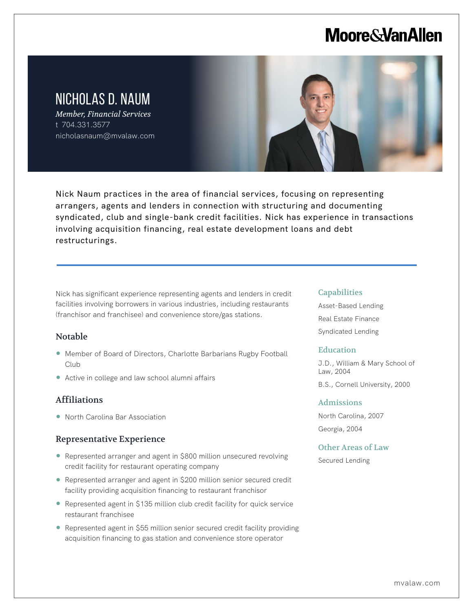# **Moore & Van Allen**

# NICHOLAS D. NAUM

*Member, Financial Services* t 704.331.3577 nicholasnaum@mvalaw.com



Nick Naum practices in the area of financial services, focusing on representing arrangers, agents and lenders in connection with structuring and documenting syndicated, club and single-bank credit facilities. Nick has experience in transactions involving acquisition financing, real estate development loans and debt restructurings.

Nick has significant experience representing agents and lenders in credit facilities involving borrowers in various industries, including restaurants (franchisor and franchisee) and convenience store/gas stations.

## Notable

l,

- Member of Board of Directors, Charlotte Barbarians Rugby Football Club
- Active in college and law school alumni affairs

# Affiliations

● North Carolina Bar Association

### Representative Experience

- Represented arranger and agent in \$800 million unsecured revolving credit facility for restaurant operating company
- Represented arranger and agent in \$200 million senior secured credit facility providing acquisition financing to restaurant franchisor
- Represented agent in \$135 million club credit facility for quick service restaurant franchisee
- Represented agent in \$55 million senior secured credit facility providing acquisition financing to gas station and convenience store operator

#### **Capabilities**

Asset-Based Lending Real Estate Finance Syndicated Lending

#### **Education**

J.D., William & Mary School of Law, 2004

B.S., Cornell University, 2000

#### Admissions

North Carolina, 2007 Georgia, 2004

### Other Areas of Law

Secured Lending